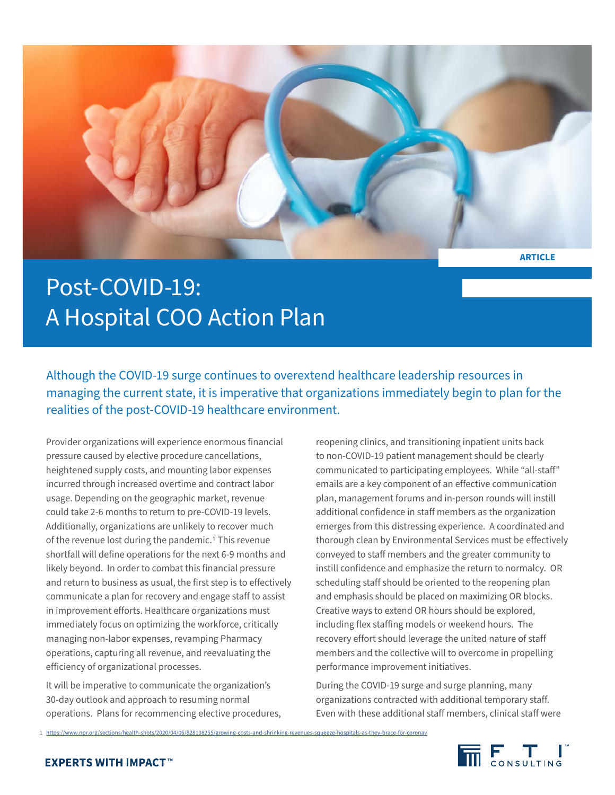

## Post-COVID-19: A Hospital COO Action Plan

Although the COVID-19 surge continues to overextend healthcare leadership resources in managing the current state, it is imperative that organizations immediately begin to plan for the realities of the post-COVID-19 healthcare environment.

Provider organizations will experience enormous financial pressure caused by elective procedure cancellations, heightened supply costs, and mounting labor expenses incurred through increased overtime and contract labor usage. Depending on the geographic market, revenue could take 2-6 months to return to pre-COVID-19 levels. Additionally, organizations are unlikely to recover much of the revenue lost during the pandemic.1 This revenue shortfall will define operations for the next 6-9 months and likely beyond. In order to combat this financial pressure and return to business as usual, the first step is to effectively communicate a plan for recovery and engage staff to assist in improvement efforts. Healthcare organizations must immediately focus on optimizing the workforce, critically managing non-labor expenses, revamping Pharmacy operations, capturing all revenue, and reevaluating the efficiency of organizational processes.

It will be imperative to communicate the organization's 30-day outlook and approach to resuming normal operations. Plans for recommencing elective procedures, reopening clinics, and transitioning inpatient units back to non-COVID-19 patient management should be clearly communicated to participating employees. While "all-staff" emails are a key component of an effective communication plan, management forums and in-person rounds will instill additional confidence in staff members as the organization emerges from this distressing experience. A coordinated and thorough clean by Environmental Services must be effectively conveyed to staff members and the greater community to instill confidence and emphasize the return to normalcy. OR scheduling staff should be oriented to the reopening plan and emphasis should be placed on maximizing OR blocks. Creative ways to extend OR hours should be explored, including flex staffing models or weekend hours. The recovery effort should leverage the united nature of staff members and the collective will to overcome in propelling performance improvement initiatives.

During the COVID-19 surge and surge planning, many organizations contracted with additional temporary staff. Even with these additional staff members, clinical staff were

1 <https://www.npr.org/sections/health-shots/2020/04/06/828108255/growing-costs-and-shrinking-revenues-squeeze-hospitals-as-they-brace-for-coronav>

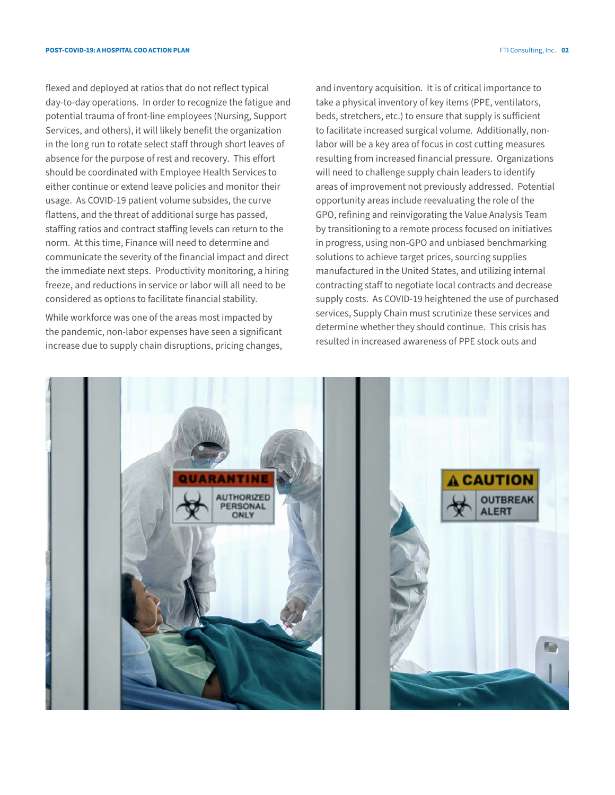flexed and deployed at ratios that do not reflect typical day-to-day operations. In order to recognize the fatigue and potential trauma of front-line employees (Nursing, Support Services, and others), it will likely benefit the organization in the long run to rotate select staff through short leaves of absence for the purpose of rest and recovery. This effort should be coordinated with Employee Health Services to either continue or extend leave policies and monitor their usage. As COVID-19 patient volume subsides, the curve flattens, and the threat of additional surge has passed, staffing ratios and contract staffing levels can return to the norm. At this time, Finance will need to determine and communicate the severity of the financial impact and direct the immediate next steps. Productivity monitoring, a hiring freeze, and reductions in service or labor will all need to be considered as options to facilitate financial stability.

While workforce was one of the areas most impacted by the pandemic, non-labor expenses have seen a significant increase due to supply chain disruptions, pricing changes, and inventory acquisition. It is of critical importance to take a physical inventory of key items (PPE, ventilators, beds, stretchers, etc.) to ensure that supply is sufficient to facilitate increased surgical volume. Additionally, nonlabor will be a key area of focus in cost cutting measures resulting from increased financial pressure. Organizations will need to challenge supply chain leaders to identify areas of improvement not previously addressed. Potential opportunity areas include reevaluating the role of the GPO, refining and reinvigorating the Value Analysis Team by transitioning to a remote process focused on initiatives in progress, using non-GPO and unbiased benchmarking solutions to achieve target prices, sourcing supplies manufactured in the United States, and utilizing internal contracting staff to negotiate local contracts and decrease supply costs. As COVID-19 heightened the use of purchased services, Supply Chain must scrutinize these services and determine whether they should continue. This crisis has resulted in increased awareness of PPE stock outs and